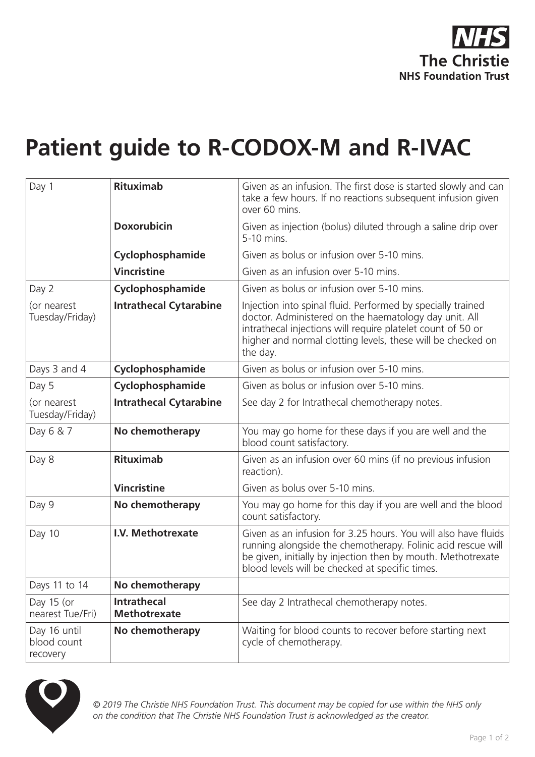

## **Patient guide to R-CODOX-M and R-IVAC**

| Day 1                                   | <b>Rituximab</b>                          | Given as an infusion. The first dose is started slowly and can<br>take a few hours. If no reactions subsequent infusion given<br>over 60 mins.                                                                                                                 |
|-----------------------------------------|-------------------------------------------|----------------------------------------------------------------------------------------------------------------------------------------------------------------------------------------------------------------------------------------------------------------|
|                                         | <b>Doxorubicin</b>                        | Given as injection (bolus) diluted through a saline drip over<br>5-10 mins.                                                                                                                                                                                    |
|                                         | Cyclophosphamide                          | Given as bolus or infusion over 5-10 mins.                                                                                                                                                                                                                     |
|                                         | <b>Vincristine</b>                        | Given as an infusion over 5-10 mins.                                                                                                                                                                                                                           |
| Day 2                                   | Cyclophosphamide                          | Given as bolus or infusion over 5-10 mins.                                                                                                                                                                                                                     |
| (or nearest<br>Tuesday/Friday)          | <b>Intrathecal Cytarabine</b>             | Injection into spinal fluid. Performed by specially trained<br>doctor. Administered on the haematology day unit. All<br>intrathecal injections will require platelet count of 50 or<br>higher and normal clotting levels, these will be checked on<br>the day. |
| Days 3 and 4                            | Cyclophosphamide                          | Given as bolus or infusion over 5-10 mins.                                                                                                                                                                                                                     |
| Day 5                                   | Cyclophosphamide                          | Given as bolus or infusion over 5-10 mins.                                                                                                                                                                                                                     |
| (or nearest<br>Tuesday/Friday)          | <b>Intrathecal Cytarabine</b>             | See day 2 for Intrathecal chemotherapy notes.                                                                                                                                                                                                                  |
| Day 6 & 7                               | No chemotherapy                           | You may go home for these days if you are well and the<br>blood count satisfactory.                                                                                                                                                                            |
| Day 8                                   | <b>Rituximab</b>                          | Given as an infusion over 60 mins (if no previous infusion<br>reaction).                                                                                                                                                                                       |
|                                         | <b>Vincristine</b>                        | Given as bolus over 5-10 mins.                                                                                                                                                                                                                                 |
| Day 9                                   | No chemotherapy                           | You may go home for this day if you are well and the blood<br>count satisfactory.                                                                                                                                                                              |
| Day 10                                  | I.V. Methotrexate                         | Given as an infusion for 3.25 hours. You will also have fluids<br>running alongside the chemotherapy. Folinic acid rescue will<br>be given, initially by injection then by mouth. Methotrexate<br>blood levels will be checked at specific times.              |
| Days 11 to 14                           | No chemotherapy                           |                                                                                                                                                                                                                                                                |
| Day 15 (or<br>nearest Tue/Fri)          | <b>Intrathecal</b><br><b>Methotrexate</b> | See day 2 Intrathecal chemotherapy notes.                                                                                                                                                                                                                      |
| Day 16 until<br>blood count<br>recovery | No chemotherapy                           | Waiting for blood counts to recover before starting next<br>cycle of chemotherapy.                                                                                                                                                                             |



*© 2019 The Christie NHS Foundation Trust. This document may be copied for use within the NHS only on the condition that The Christie NHS Foundation Trust is acknowledged as the creator.*